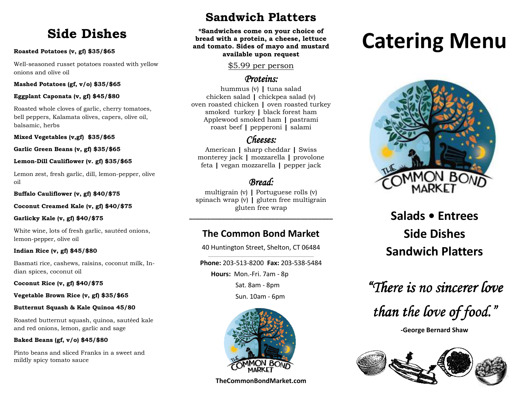## **Side Dishes**

## **Roasted Potatoes (v, gf) \$35/\$65**

Well-seasoned russet potatoes roasted with yellow onions and olive oil

## **Mashed Potatoes (gf, v/o) \$35/\$65**

## **Eggplant Caponata (v, gf) \$45/\$80**

Roasted whole cloves of garlic, cherry tomatoes, bell peppers, Kalamata olives, capers, olive oil, balsamic, herbs

**Mixed Vegetables (v,gf) \$35/\$65** 

## **Garlic Green Beans (v, gf) \$35/\$65**

## **Lemon-Dill Cauliflower (v. gf) \$35/\$65**

Lemon zest, fresh garlic, dill, lemon-pepper, oliveoil

**Buffalo Cauliflower (v, gf) \$40/\$75** 

## **Coconut Creamed Kale (v, gf) \$40/\$75**

## **Garlicky Kale (v, gf) \$40/\$75**

White wine, lots of fresh garlic, sautéed onions, lemon-pepper, olive oil

## **Indian Rice (v, gf) \$45/\$80**

Basmati rice, cashews, raisins, coconut milk, Indian spices, coconut oil

**Coconut Rice (v, gf) \$40/\$75** 

## **Vegetable Brown Rice (v, gf) \$35/\$65**

## **Butternut Squash & Kale Quinoa 45/80**

Roasted butternut squash, quinoa, sautéed kale and red onions, lemon, garlic and sage

## **Baked Beans (gf, v/o) \$45/\$80**

Pinto beans and sliced Franks in a sweet and mildly spicy tomato sauce

## **Sandwich Platters**

**\*Sandwiches come on your choice of bread with a protein, a cheese, lettuce and tomato. Sides of mayo and mustard available upon request** 

## \$5.99 per person

## *Proteins: Proteins:*

hummus (v) **|** tuna salad chicken salad **|** chickpea salad (v) oven roasted chicken **|** oven roasted turkey smoked turkey **|** black forest ham Applewood smoked ham **|** pastrami roast beef **|** pepperoni **|** salami

## *Cheeses:*

American **|** sharp cheddar **|** Swiss monterey jack **|** mozzarella **|** provolone feta **|** vegan mozzarella **|** pepper jack

## *Bread: Bread:*

 multigrain (v) **|** Portuguese rolls (v) spinach wrap (v) **|** gluten free multigrain gluten free wrap

**\_\_\_\_\_\_\_\_\_\_\_\_\_\_\_\_\_\_\_\_\_\_\_\_\_\_\_\_\_\_\_\_\_\_\_\_\_\_\_\_** 

## **The Common Bond Market**

40 Huntington Street, Shelton, CT 06484

**Phone:** 203-513-8200 **Fax:** 203-538-5484 **Hours:** Mon.-Fri. 7am - 8p Sat. 8am - 8pm Sun. 10am - 6pm



## **TheCommonBondMarket.com**

# **Catering Menu**



## **Salads • Entrees Side Dishes Sandwich Platters**

*"There is no sincerer love sincerer* 

*than the love of food."* 

**-George Bernard Shaw**